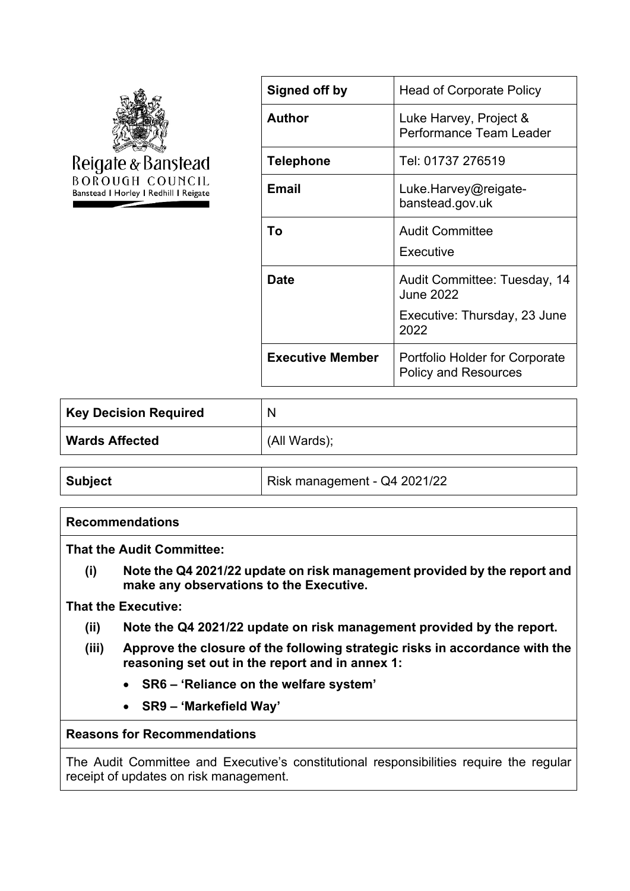

| Signed off by           | <b>Head of Corporate Policy</b>                               |
|-------------------------|---------------------------------------------------------------|
| <b>Author</b>           | Luke Harvey, Project &<br>Performance Team Leader             |
| <b>Telephone</b>        | Tel: 01737 276519                                             |
| <b>Email</b>            | Luke.Harvey@reigate-<br>banstead.gov.uk                       |
| Тο                      | <b>Audit Committee</b><br>Executive                           |
| Date                    | Audit Committee: Tuesday, 14<br>June 2022                     |
|                         | Executive: Thursday, 23 June<br>2022                          |
| <b>Executive Member</b> | Portfolio Holder for Corporate<br><b>Policy and Resources</b> |

| $^{\text{!}}$ Key Decision Required | N            |
|-------------------------------------|--------------|
| <b>Wards Affected</b>               | (All Wards); |

## **Recommendations**

**That the Audit Committee:**

**(i) Note the Q4 2021/22 update on risk management provided by the report and make any observations to the Executive.**

#### **That the Executive:**

- **(ii) Note the Q4 2021/22 update on risk management provided by the report.**
- **(iii) Approve the closure of the following strategic risks in accordance with the reasoning set out in the report and in annex 1:**
	- **SR6 – 'Reliance on the welfare system'**
	- **SR9 – 'Markefield Way'**

#### **Reasons for Recommendations**

The Audit Committee and Executive's constitutional responsibilities require the regular receipt of updates on risk management.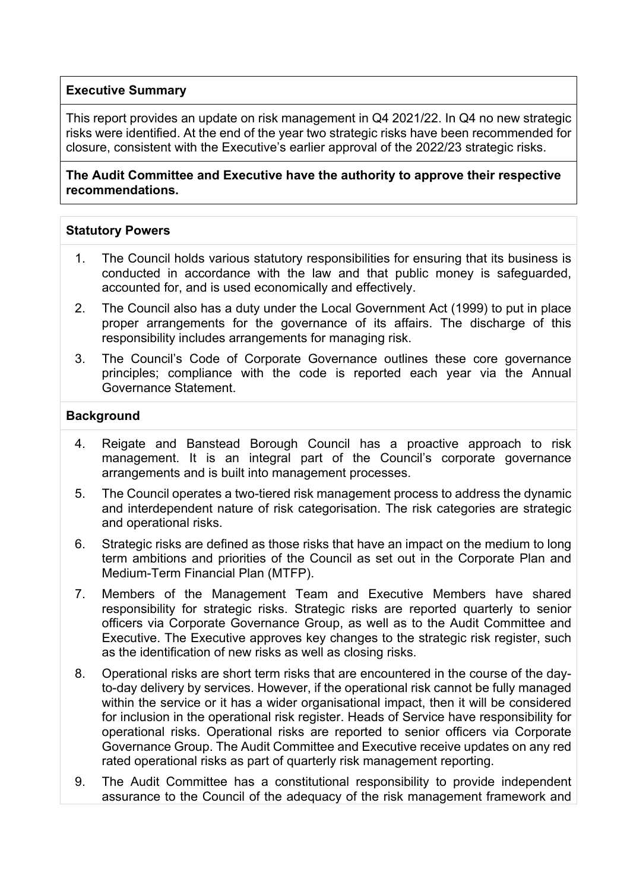## **Executive Summary**

This report provides an update on risk management in Q4 2021/22. In Q4 no new strategic risks were identified. At the end of the year two strategic risks have been recommended for closure, consistent with the Executive's earlier approval of the 2022/23 strategic risks.

**The Audit Committee and Executive have the authority to approve their respective recommendations.**

#### **Statutory Powers**

- 1. The Council holds various statutory responsibilities for ensuring that its business is conducted in accordance with the law and that public money is safeguarded, accounted for, and is used economically and effectively.
- 2. The Council also has a duty under the Local Government Act (1999) to put in place proper arrangements for the governance of its affairs. The discharge of this responsibility includes arrangements for managing risk.
- 3. The Council's Code of Corporate Governance outlines these core governance principles; compliance with the code is reported each year via the Annual Governance Statement.

#### **Background**

- 4. Reigate and Banstead Borough Council has a proactive approach to risk management. It is an integral part of the Council's corporate governance arrangements and is built into management processes.
- 5. The Council operates a two-tiered risk management process to address the dynamic and interdependent nature of risk categorisation. The risk categories are strategic and operational risks.
- 6. Strategic risks are defined as those risks that have an impact on the medium to long term ambitions and priorities of the Council as set out in the Corporate Plan and Medium-Term Financial Plan (MTFP).
- 7. Members of the Management Team and Executive Members have shared responsibility for strategic risks. Strategic risks are reported quarterly to senior officers via Corporate Governance Group, as well as to the Audit Committee and Executive. The Executive approves key changes to the strategic risk register, such as the identification of new risks as well as closing risks.
- 8. Operational risks are short term risks that are encountered in the course of the dayto-day delivery by services. However, if the operational risk cannot be fully managed within the service or it has a wider organisational impact, then it will be considered for inclusion in the operational risk register. Heads of Service have responsibility for operational risks. Operational risks are reported to senior officers via Corporate Governance Group. The Audit Committee and Executive receive updates on any red rated operational risks as part of quarterly risk management reporting.
- 9. The Audit Committee has a constitutional responsibility to provide independent assurance to the Council of the adequacy of the risk management framework and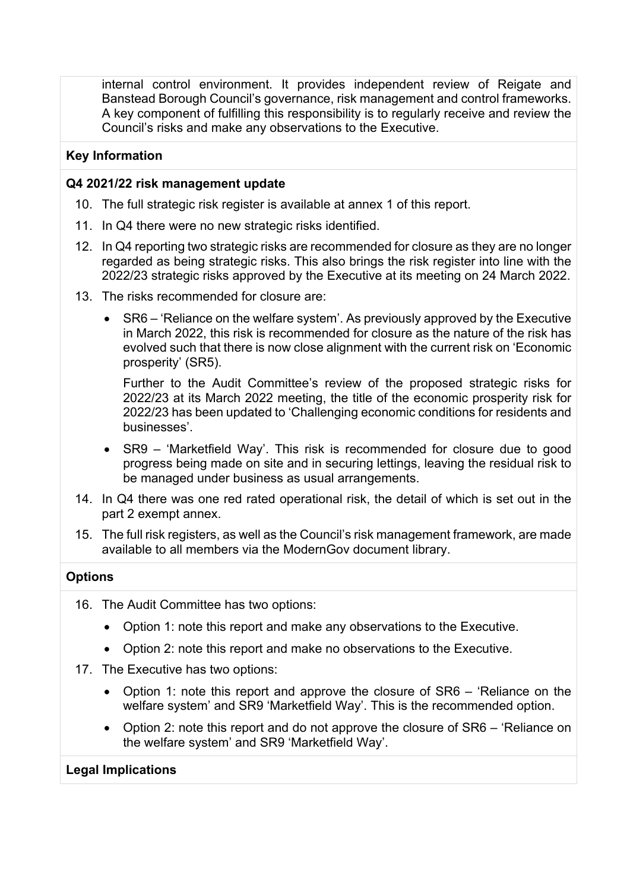internal control environment. It provides independent review of Reigate and Banstead Borough Council's governance, risk management and control frameworks. A key component of fulfilling this responsibility is to regularly receive and review the Council's risks and make any observations to the Executive.

## **Key Information**

## **Q4 2021/22 risk management update**

- 10. The full strategic risk register is available at annex 1 of this report.
- 11. In Q4 there were no new strategic risks identified.
- 12. In Q4 reporting two strategic risks are recommended for closure as they are no longer regarded as being strategic risks. This also brings the risk register into line with the 2022/23 strategic risks approved by the Executive at its meeting on 24 March 2022.
- 13. The risks recommended for closure are:
	- SR6 'Reliance on the welfare system'. As previously approved by the Executive in March 2022, this risk is recommended for closure as the nature of the risk has evolved such that there is now close alignment with the current risk on 'Economic prosperity' (SR5).

Further to the Audit Committee's review of the proposed strategic risks for 2022/23 at its March 2022 meeting, the title of the economic prosperity risk for 2022/23 has been updated to 'Challenging economic conditions for residents and businesses'.

- SR9 'Marketfield Way'. This risk is recommended for closure due to good progress being made on site and in securing lettings, leaving the residual risk to be managed under business as usual arrangements.
- 14. In Q4 there was one red rated operational risk, the detail of which is set out in the part 2 exempt annex.
- 15. The full risk registers, as well as the Council's risk management framework, are made available to all members via the ModernGov document library.

## **Options**

- 16. The Audit Committee has two options:
	- Option 1: note this report and make any observations to the Executive.
	- Option 2: note this report and make no observations to the Executive.
- 17. The Executive has two options:
	- Option 1: note this report and approve the closure of SR6 'Reliance on the welfare system' and SR9 'Marketfield Way'. This is the recommended option.
	- Option 2: note this report and do not approve the closure of SR6 'Reliance on the welfare system' and SR9 'Marketfield Way'.

## **Legal Implications**